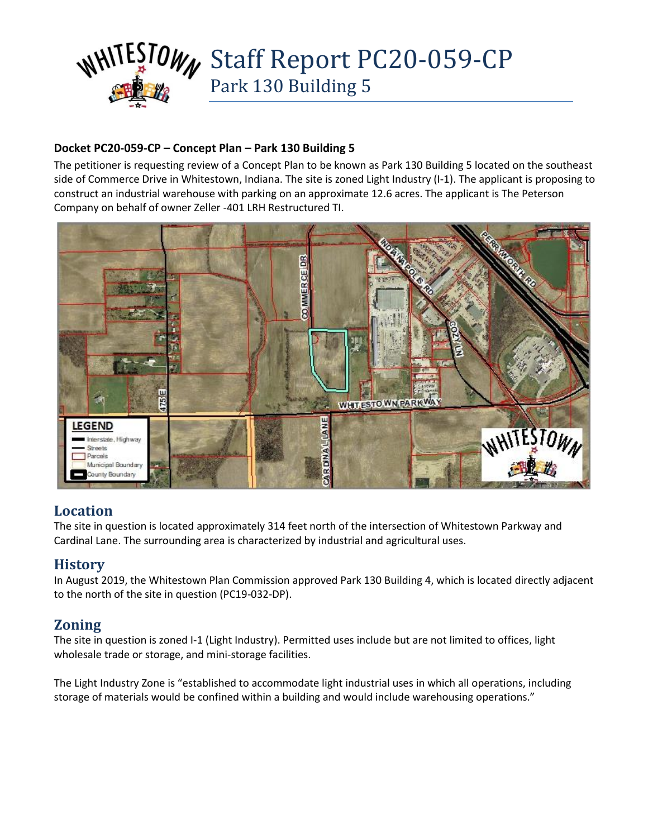

### **Docket PC20-059-CP – Concept Plan – Park 130 Building 5**

The petitioner is requesting review of a Concept Plan to be known as Park 130 Building 5 located on the southeast side of Commerce Drive in Whitestown, Indiana. The site is zoned Light Industry (I-1). The applicant is proposing to construct an industrial warehouse with parking on an approximate 12.6 acres. The applicant is The Peterson Company on behalf of owner Zeller -401 LRH Restructured TI.



# **Location**

The site in question is located approximately 314 feet north of the intersection of Whitestown Parkway and Cardinal Lane. The surrounding area is characterized by industrial and agricultural uses.

# **History**

In August 2019, the Whitestown Plan Commission approved Park 130 Building 4, which is located directly adjacent to the north of the site in question (PC19-032-DP).

# **Zoning**

The site in question is zoned I-1 (Light Industry). Permitted uses include but are not limited to offices, light wholesale trade or storage, and mini-storage facilities.

The Light Industry Zone is "established to accommodate light industrial uses in which all operations, including storage of materials would be confined within a building and would include warehousing operations."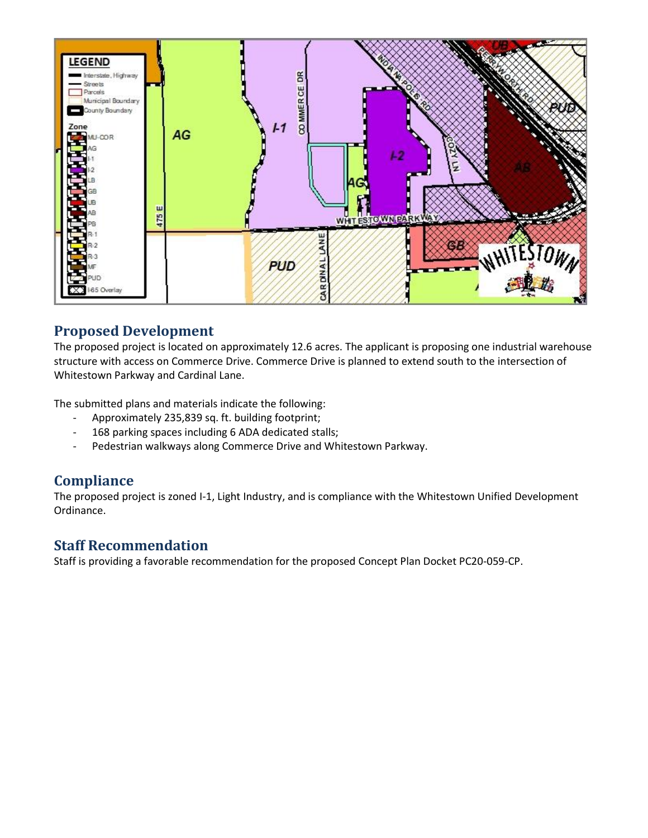

### **Proposed Development**

The proposed project is located on approximately 12.6 acres. The applicant is proposing one industrial warehouse structure with access on Commerce Drive. Commerce Drive is planned to extend south to the intersection of Whitestown Parkway and Cardinal Lane.

The submitted plans and materials indicate the following:

- Approximately 235,839 sq. ft. building footprint;
- 168 parking spaces including 6 ADA dedicated stalls;
- Pedestrian walkways along Commerce Drive and Whitestown Parkway.

# **Compliance**

The proposed project is zoned I-1, Light Industry, and is compliance with the Whitestown Unified Development Ordinance.

# **Staff Recommendation**

Staff is providing a favorable recommendation for the proposed Concept Plan Docket PC20-059-CP.